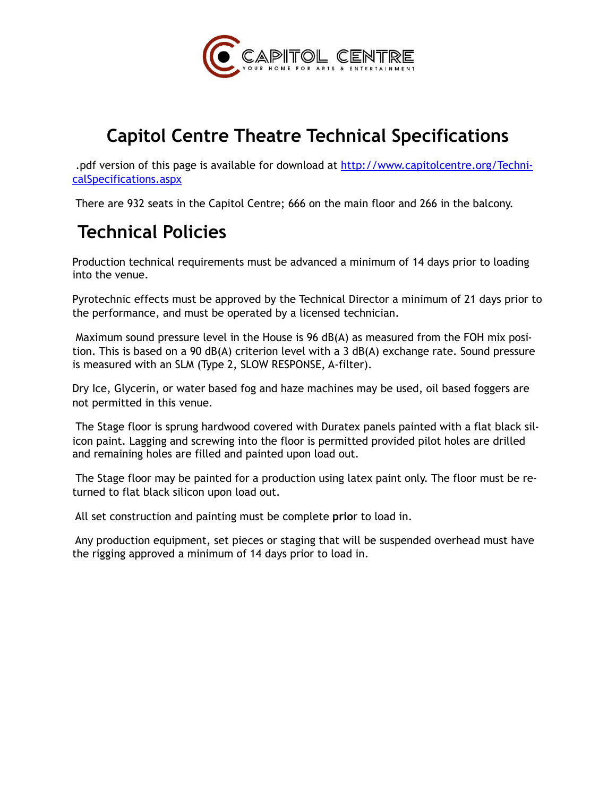

## **Capitol Centre Theatre Technical Specifications**

.pdf version of this page is available for download at [http://www.capitolcentre.org/Techni](http://www.capitolcentre.org/TechnicalSpecifications.aspx)[calSpecifications.aspx](http://www.capitolcentre.org/TechnicalSpecifications.aspx)

There are 932 seats in the Capitol Centre; 666 on the main floor and 266 in the balcony.

## **Technical Policies**

Production technical requirements must be advanced a minimum of 14 days prior to loading into the venue.

Pyrotechnic effects must be approved by the Technical Director a minimum of 21 days prior to the performance, and must be operated by a licensed technician.

 Maximum sound pressure level in the House is 96 dB(A) as measured from the FOH mix position. This is based on a 90 dB(A) criterion level with a 3 dB(A) exchange rate. Sound pressure is measured with an SLM (Type 2, SLOW RESPONSE, A-filter).

Dry Ice, Glycerin, or water based fog and haze machines may be used, oil based foggers are not permitted in this venue.

 The Stage floor is sprung hardwood covered with Duratex panels painted with a flat black silicon paint. Lagging and screwing into the floor is permitted provided pilot holes are drilled and remaining holes are filled and painted upon load out.

 The Stage floor may be painted for a production using latex paint only. The floor must be returned to flat black silicon upon load out.

All set construction and painting must be complete **prio**r to load in.

 Any production equipment, set pieces or staging that will be suspended overhead must have the rigging approved a minimum of 14 days prior to load in.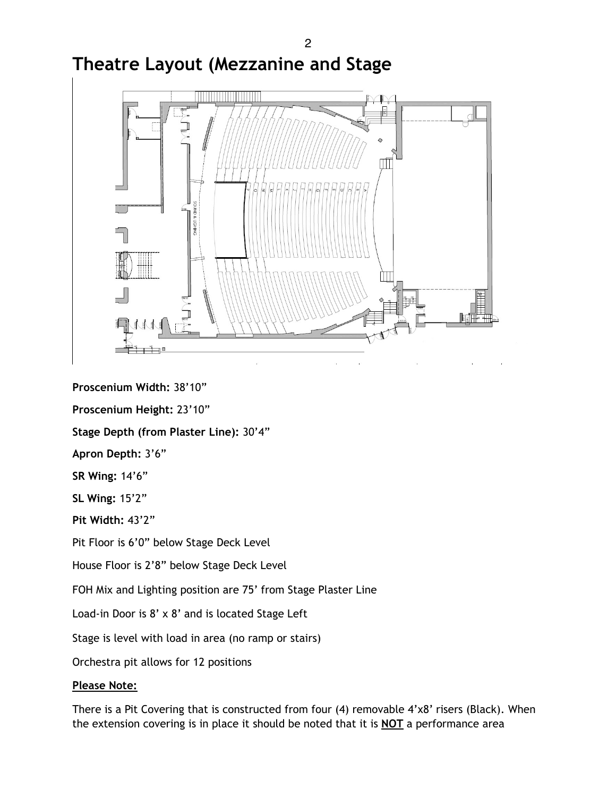**Proscenium Width:** 38'10"

**Proscenium Height:** 23'10"

**Stage Depth (from Plaster Line):** 30'4"

**Apron Depth:** 3'6"

**SR Wing:** 14'6"

**SL Wing:** 15'2"

**Pit Width:** 43'2"

Pit Floor is 6'0" below Stage Deck Level

House Floor is 2'8" below Stage Deck Level

FOH Mix and Lighting position are 75' from Stage Plaster Line

Load-in Door is 8' x 8' and is located Stage Left

Stage is level with load in area (no ramp or stairs)

Orchestra pit allows for 12 positions

#### **Please Note:**

There is a Pit Covering that is constructed from four (4) removable 4'x8' risers (Black). When the extension covering is in place it should be noted that it is **NOT** a performance area

# **Theatre Layout (Mezzanine and Stage**

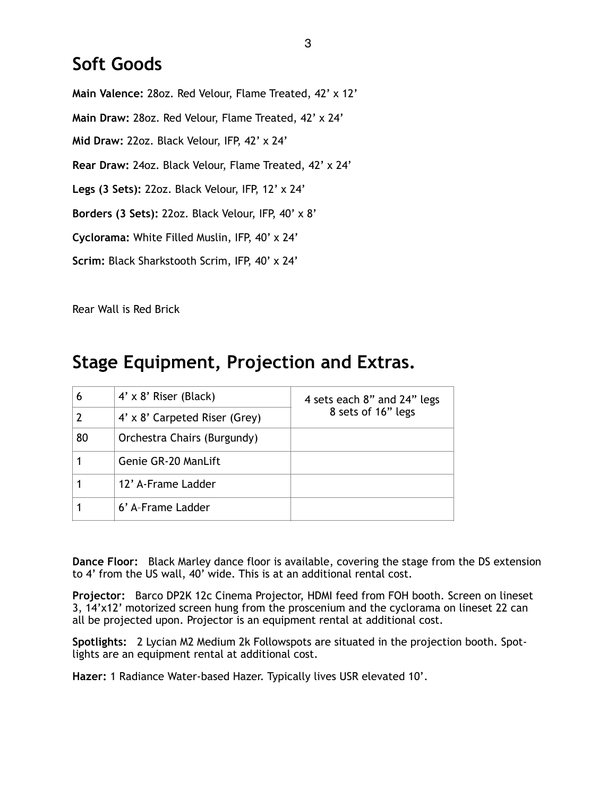### **Soft Goods**

**Main Valence:** 28oz. Red Velour, Flame Treated, 42' x 12' **Main Draw:** 28oz. Red Velour, Flame Treated, 42' x 24' **Mid Draw:** 22oz. Black Velour, IFP, 42' x 24' **Rear Draw:** 24oz. Black Velour, Flame Treated, 42' x 24' **Legs (3 Sets):** 22oz. Black Velour, IFP, 12' x 24' **Borders (3 Sets):** 22oz. Black Velour, IFP, 40' x 8' **Cyclorama:** White Filled Muslin, IFP, 40' x 24' **Scrim:** Black Sharkstooth Scrim, IFP, 40' x 24'

Rear Wall is Red Brick

## **Stage Equipment, Projection and Extras.**

| 6  | $4' \times 8'$ Riser (Black)  | 4 sets each 8" and 24" legs |
|----|-------------------------------|-----------------------------|
|    | 4' x 8' Carpeted Riser (Grey) | 8 sets of 16" legs          |
| 80 | Orchestra Chairs (Burgundy)   |                             |
|    | Genie GR-20 ManLift           |                             |
|    | 12' A-Frame Ladder            |                             |
|    | 6' A-Frame Ladder             |                             |

**Dance Floor:** Black Marley dance floor is available, covering the stage from the DS extension to 4' from the US wall, 40' wide. This is at an additional rental cost.

**Projector:** Barco DP2K 12c Cinema Projector, HDMI feed from FOH booth. Screen on lineset 3, 14'x12' motorized screen hung from the proscenium and the cyclorama on lineset 22 can all be projected upon. Projector is an equipment rental at additional cost.

**Spotlights:** 2 Lycian M2 Medium 2k Followspots are situated in the projection booth. Spotlights are an equipment rental at additional cost.

**Hazer:** 1 Radiance Water-based Hazer. Typically lives USR elevated 10'.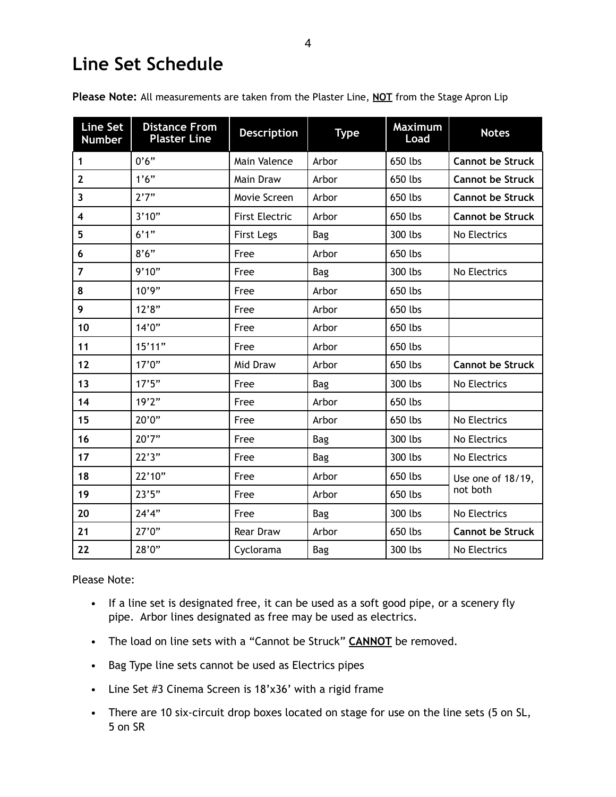## **Line Set Schedule**

| <b>Line Set</b><br><b>Number</b> | <b>Distance From</b><br><b>Plaster Line</b> | <b>Description</b>    | <b>Type</b> | <b>Maximum</b><br>Load | <b>Notes</b>            |
|----------------------------------|---------------------------------------------|-----------------------|-------------|------------------------|-------------------------|
| 1                                | 0'6"                                        | Main Valence          | Arbor       | 650 lbs                | <b>Cannot be Struck</b> |
| $\mathbf{2}$                     | 1'6''                                       | Main Draw             | Arbor       | 650 lbs                | <b>Cannot be Struck</b> |
| 3                                | 2'7''                                       | Movie Screen          | Arbor       | 650 lbs                | <b>Cannot be Struck</b> |
| 4                                | 3'10"                                       | <b>First Electric</b> | Arbor       | 650 lbs                | <b>Cannot be Struck</b> |
| 5                                | 6'1''                                       | <b>First Legs</b>     | <b>Bag</b>  | 300 lbs                | No Electrics            |
| 6                                | 8'6''                                       | Free                  | Arbor       | 650 lbs                |                         |
| $\overline{7}$                   | 9'10"                                       | Free                  | <b>Bag</b>  | 300 lbs                | No Electrics            |
| 8                                | 10'9"                                       | Free                  | Arbor       | 650 lbs                |                         |
| 9                                | 12'8"                                       | Free                  | Arbor       | 650 lbs                |                         |
| 10                               | 14'0''                                      | Free                  | Arbor       | 650 lbs                |                         |
| 11                               | 15'11"                                      | Free                  | Arbor       | 650 lbs                |                         |
| 12                               | 17'0''                                      | Mid Draw              | Arbor       | 650 lbs                | <b>Cannot be Struck</b> |
| 13                               | 17'5''                                      | Free                  | <b>Bag</b>  | 300 lbs                | No Electrics            |
| 14                               | 19'2"                                       | Free                  | Arbor       | 650 lbs                |                         |
| 15                               | 20'0''                                      | Free                  | Arbor       | 650 lbs                | No Electrics            |
| 16                               | 20'7''                                      | Free                  | <b>Bag</b>  | 300 lbs                | No Electrics            |
| 17                               | 22'3''                                      | Free                  | Bag         | 300 lbs                | No Electrics            |
| 18                               | 22'10"                                      | Free                  | Arbor       | 650 lbs                | Use one of 18/19,       |
| 19                               | 23'5''                                      | Free                  | Arbor       | 650 lbs                | not both                |
| 20                               | 24'4''                                      | Free                  | <b>Bag</b>  | 300 lbs                | No Electrics            |
| 21                               | 27'0''                                      | <b>Rear Draw</b>      | Arbor       | 650 lbs                | <b>Cannot be Struck</b> |
| 22                               | 28'0"                                       | Cyclorama             | <b>Bag</b>  | 300 lbs                | No Electrics            |

**Please Note:** All measurements are taken from the Plaster Line, **NOT** from the Stage Apron Lip

Please Note:

- If a line set is designated free, it can be used as a soft good pipe, or a scenery fly pipe. Arbor lines designated as free may be used as electrics.
- The load on line sets with a "Cannot be Struck" **CANNOT** be removed.
- Bag Type line sets cannot be used as Electrics pipes
- Line Set #3 Cinema Screen is 18'x36' with a rigid frame
- There are 10 six-circuit drop boxes located on stage for use on the line sets (5 on SL, 5 on SR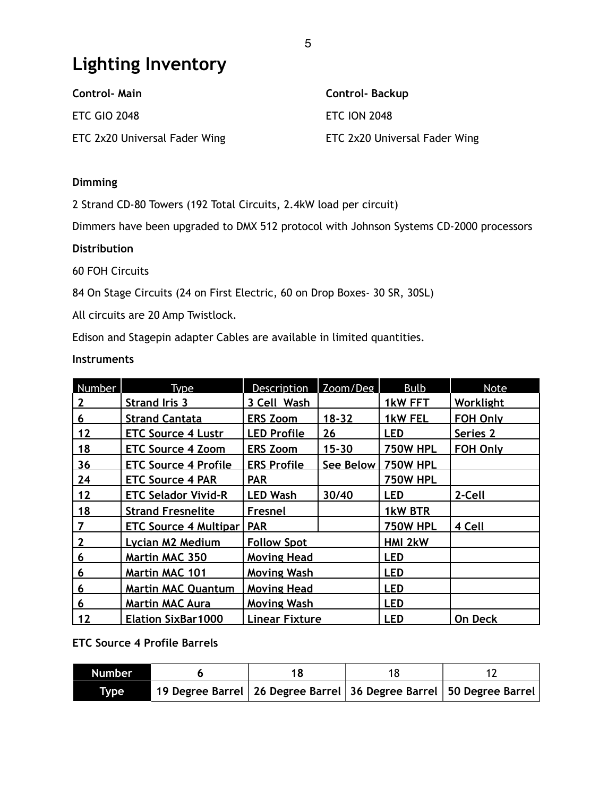## **Lighting Inventory**

| <b>Control-Main</b>           | <b>Control-Backup</b>         |
|-------------------------------|-------------------------------|
| <b>ETC GIO 2048</b>           | <b>ETC ION 2048</b>           |
| ETC 2x20 Universal Fader Wing | ETC 2x20 Universal Fader Wing |

#### **Dimming**

2 Strand CD-80 Towers (192 Total Circuits, 2.4kW load per circuit)

Dimmers have been upgraded to DMX 512 protocol with Johnson Systems CD-2000 processors

#### **Distribution**

60 FOH Circuits

84 On Stage Circuits (24 on First Electric, 60 on Drop Boxes- 30 SR, 30SL)

All circuits are 20 Amp Twistlock.

Edison and Stagepin adapter Cables are available in limited quantities.

#### **Instruments**

| Number         | Type                         | Description           | Zoom/Deg  | <b>Bulb</b>     | Note            |
|----------------|------------------------------|-----------------------|-----------|-----------------|-----------------|
| 2              | <b>Strand Iris 3</b>         | 3 Cell Wash           |           | 1kW FFT         | Worklight       |
| 6              | <b>Strand Cantata</b>        | <b>ERS Zoom</b>       | $18 - 32$ | 1kW FEL         | <b>FOH Only</b> |
| 12             | <b>ETC Source 4 Lustr</b>    | <b>LED Profile</b>    | 26        | <b>LED</b>      | Series 2        |
| 18             | <b>ETC Source 4 Zoom</b>     | <b>ERS Zoom</b>       | $15 - 30$ | <b>750W HPL</b> | <b>FOH Only</b> |
| 36             | <b>ETC Source 4 Profile</b>  | <b>ERS Profile</b>    | See Below | <b>750W HPL</b> |                 |
| 24             | <b>ETC Source 4 PAR</b>      | <b>PAR</b>            |           | <b>750W HPL</b> |                 |
| 12             | <b>ETC Selador Vivid-R</b>   | <b>LED Wash</b>       | 30/40     | <b>LED</b>      | 2-Cell          |
| 18             | <b>Strand Fresnelite</b>     | Fresnel               |           | 1kW BTR         |                 |
| $\overline{7}$ | <b>ETC Source 4 Multipar</b> | <b>PAR</b>            |           | <b>750W HPL</b> | 4 Cell          |
| $\mathbf{2}$   | <b>Lycian M2 Medium</b>      | <b>Follow Spot</b>    |           | <b>HMI 2kW</b>  |                 |
| 6              | <b>Martin MAC 350</b>        | <b>Moving Head</b>    |           | <b>LED</b>      |                 |
| 6              | <b>Martin MAC 101</b>        | <b>Moving Wash</b>    |           | <b>LED</b>      |                 |
| 6              | <b>Martin MAC Quantum</b>    | <b>Moving Head</b>    |           | <b>LED</b>      |                 |
| 6              | <b>Martin MAC Aura</b>       | <b>Moving Wash</b>    |           | <b>LED</b>      |                 |
| 12             | <b>Elation SixBar1000</b>    | <b>Linear Fixture</b> |           | <b>LED</b>      | On Deck         |

#### **ETC Source 4 Profile Barrels**

| <b>Number</b> |                                                                           |  |  |
|---------------|---------------------------------------------------------------------------|--|--|
| <b>Type</b>   | 19 Degree Barrel   26 Degree Barrel   36 Degree Barrel   50 Degree Barrel |  |  |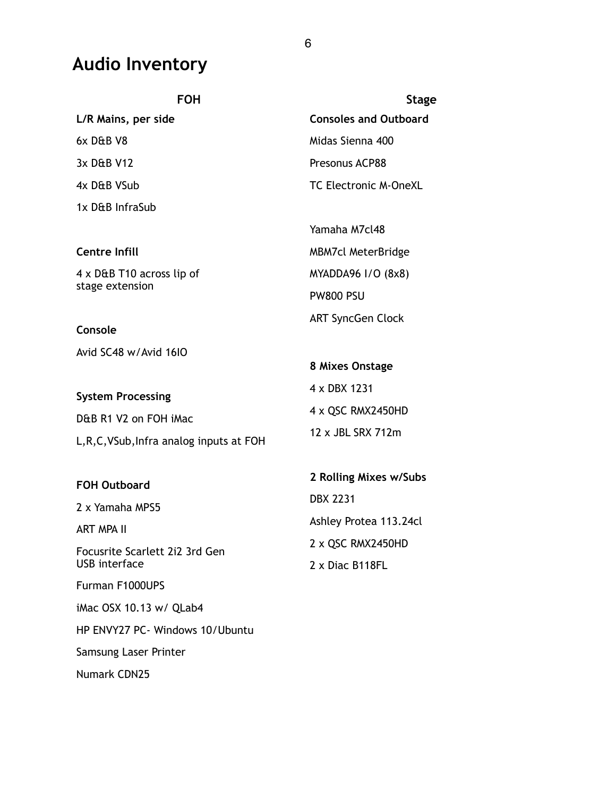## **Audio Inventory**

| <b>FOH</b>                                | <b>Stage</b>                 |  |
|-------------------------------------------|------------------------------|--|
| L/R Mains, per side                       | <b>Consoles and Outboard</b> |  |
| $6x$ D&B V8                               | Midas Sienna 400             |  |
| 3x D&B V12                                | Presonus ACP88               |  |
| 4x D&B VSub                               | <b>TC Electronic M-OneXL</b> |  |
| 1x D&B InfraSub                           |                              |  |
|                                           | Yamaha M7cl48                |  |
| <b>Centre Infill</b>                      | <b>MBM7cl MeterBridge</b>    |  |
| $4 \times$ D&B T10 across lip of          | MYADDA96 I/O (8x8)           |  |
| stage extension                           | <b>PW800 PSU</b>             |  |
| Console                                   | <b>ART SyncGen Clock</b>     |  |
| Avid SC48 w/Avid 16IO                     |                              |  |
|                                           | 8 Mixes Onstage              |  |
| <b>System Processing</b>                  | 4 x DBX 1231                 |  |
| D&B R1 V2 on FOH iMac                     | 4 x QSC RMX2450HD            |  |
| L, R, C, VSub, Infra analog inputs at FOH | 12 x JBL SRX 712m            |  |

| <b>FOH Outboard</b>            | 2 Rolling Mixes w/Subs |  |
|--------------------------------|------------------------|--|
| 2 x Yamaha MPS5                | <b>DBX 2231</b>        |  |
| ART MPA II                     | Ashley Protea 113.24cl |  |
| Focusrite Scarlett 2i2 3rd Gen | 2 x QSC RMX2450HD      |  |
| USB interface                  | $2 \times$ Diac B118FL |  |
| Furman F1000UPS                |                        |  |
| iMac OSX 10.13 w/ QLab4        |                        |  |

HP ENVY27 PC- Windows 10/Ubuntu

Samsung Laser Printer

Numark CDN25

6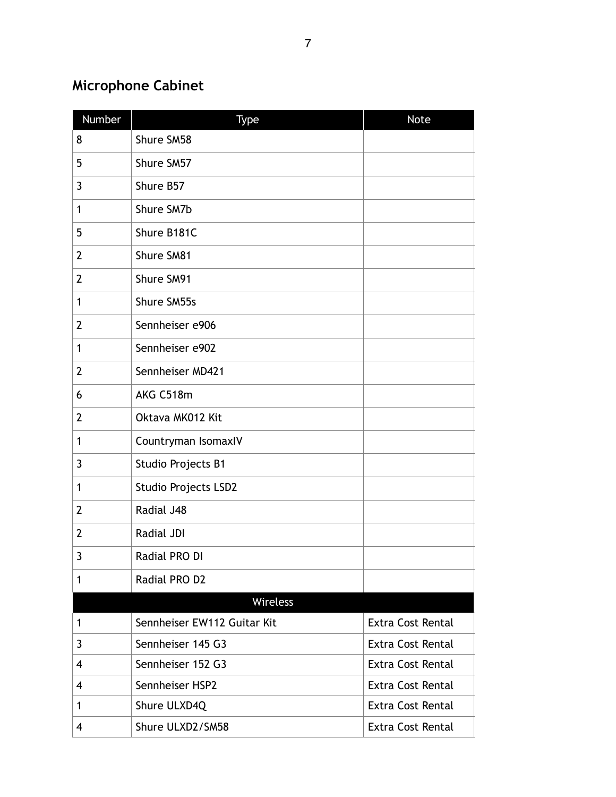## **Microphone Cabinet**

| Number         | Type                        | <b>Note</b>              |
|----------------|-----------------------------|--------------------------|
| 8              | Shure SM58                  |                          |
| 5              | Shure SM57                  |                          |
| 3              | Shure B57                   |                          |
| 1              | Shure SM7b                  |                          |
| 5              | Shure B181C                 |                          |
| $\mathbf{2}$   | Shure SM81                  |                          |
| $\overline{2}$ | Shure SM91                  |                          |
| $\mathbf 1$    | Shure SM55s                 |                          |
| $\mathbf{2}$   | Sennheiser e906             |                          |
| 1              | Sennheiser e902             |                          |
| $\overline{2}$ | Sennheiser MD421            |                          |
| 6              | AKG C518m                   |                          |
| $\overline{2}$ | Oktava MK012 Kit            |                          |
| $\mathbf{1}$   | Countryman IsomaxIV         |                          |
| 3              | Studio Projects B1          |                          |
| 1              | <b>Studio Projects LSD2</b> |                          |
| $\overline{2}$ | Radial J48                  |                          |
| $\overline{2}$ | Radial JDI                  |                          |
| 3              | Radial PRO DI               |                          |
| 1              | Radial PRO D2               |                          |
|                | Wireless                    |                          |
| $\mathbf{1}$   | Sennheiser EW112 Guitar Kit | <b>Extra Cost Rental</b> |
| 3              | Sennheiser 145 G3           | <b>Extra Cost Rental</b> |
| 4              | Sennheiser 152 G3           | <b>Extra Cost Rental</b> |
| 4              | Sennheiser HSP2             | <b>Extra Cost Rental</b> |
| $\mathbf 1$    | Shure ULXD4Q                | <b>Extra Cost Rental</b> |
| 4              | Shure ULXD2/SM58            | <b>Extra Cost Rental</b> |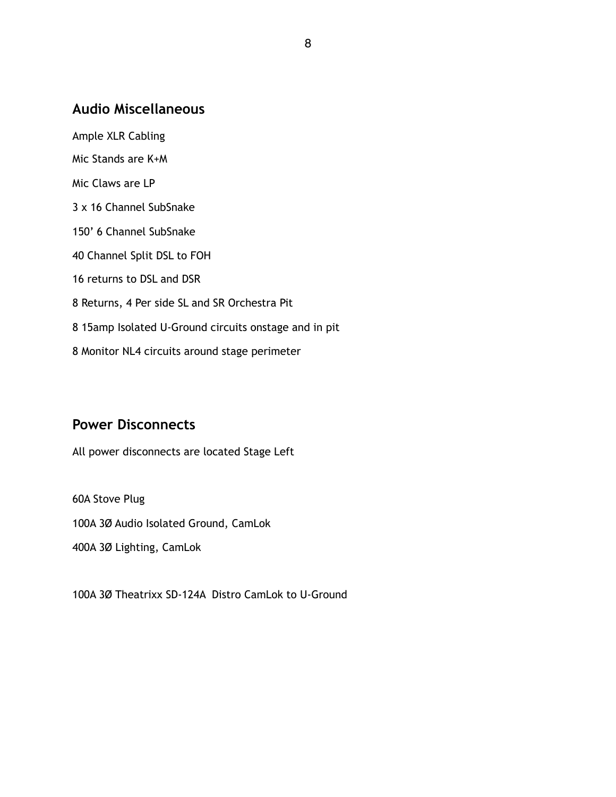### **Audio Miscellaneous**

Ample XLR Cabling Mic Stands are K+M Mic Claws are LP 3 x 16 Channel SubSnake 150' 6 Channel SubSnake 40 Channel Split DSL to FOH 16 returns to DSL and DSR 8 Returns, 4 Per side SL and SR Orchestra Pit 8 15amp Isolated U-Ground circuits onstage and in pit 8 Monitor NL4 circuits around stage perimeter

### **Power Disconnects**

All power disconnects are located Stage Left

60A Stove Plug 100A 3Ø Audio Isolated Ground, CamLok 400A 3Ø Lighting, CamLok

100A 3Ø Theatrixx SD-124A Distro CamLok to U-Ground